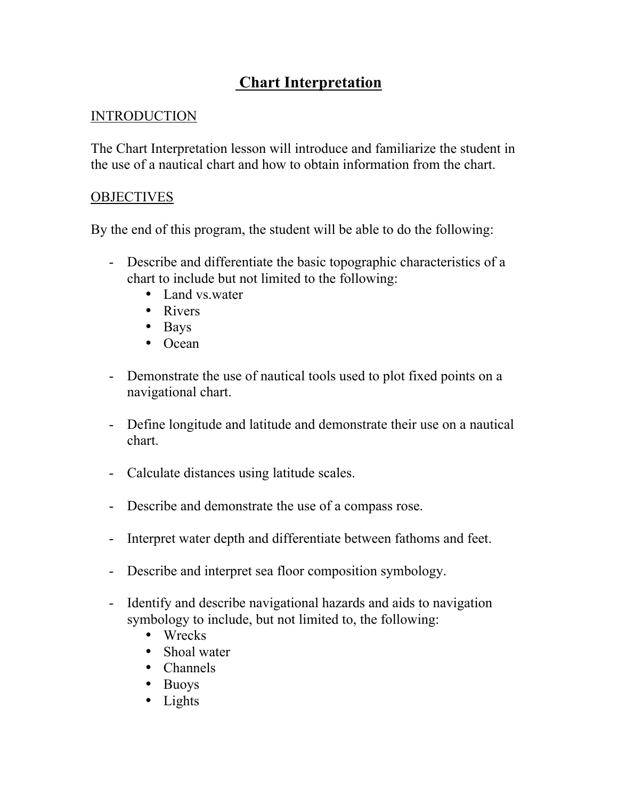## Chart Interpretation

## INTRODUCTION

The Chart Interpretation lesson will introduce and familiarize the student in the use of a nautical chart and how to obtain information from the chart.

## **OBJECTIVES**

By the end of this program, the student will be able to do the following:

- Describe and differentiate the basic topographic characteristics of a chart to include but not limited to the following:
	- Land vs.water
	- Rivers
	- Bays
	- Ocean
- Demonstrate the use of nautical tools used to plot fixed points on a navigational chart.
- Define longitude and latitude and demonstrate their use on a nautical chart.
- Calculate distances using latitude scales.
- Describe and demonstrate the use of a compass rose.
- Interpret water depth and differentiate between fathoms and feet.
- Describe and interpret sea floor composition symbology.
- Identify and describe navigational hazards and aids to navigation symbology to include, but not limited to, the following:
	- Wrecks
	- Shoal water
	- Channels
	- Buoys
	- Lights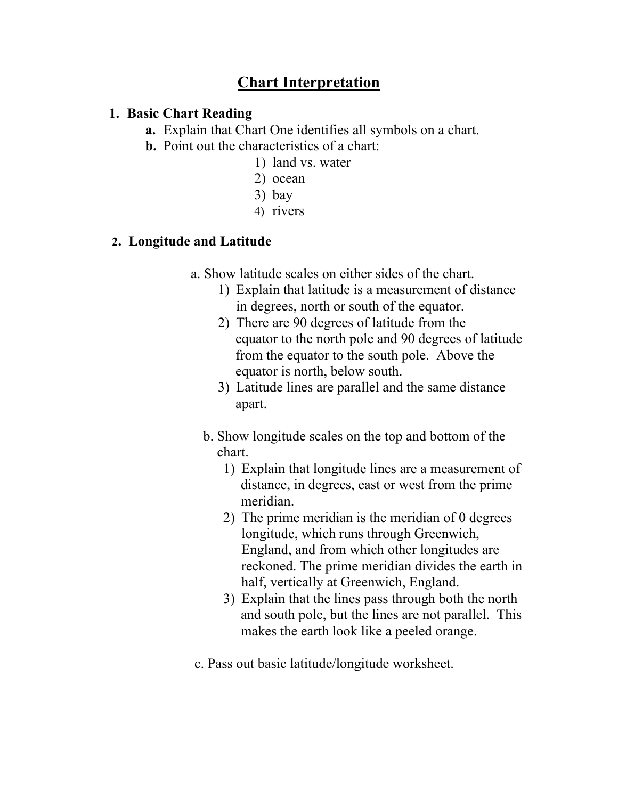## Chart Interpretation

#### 1. Basic Chart Reading

a. Explain that Chart One identifies all symbols on a chart.

- b. Point out the characteristics of a chart:
	- 1) land vs. water
	- 2) ocean
	- 3) bay
	- 4) rivers

#### 2. Longitude and Latitude

- a. Show latitude scales on either sides of the chart.
	- 1) Explain that latitude is a measurement of distance in degrees, north or south of the equator.
	- 2) There are 90 degrees of latitude from the equator to the north pole and 90 degrees of latitude from the equator to the south pole. Above the equator is north, below south.
	- 3) Latitude lines are parallel and the same distance apart.
	- b. Show longitude scales on the top and bottom of the chart.
		- 1) Explain that longitude lines are a measurement of distance, in degrees, east or west from the prime meridian.
		- 2) The prime meridian is the meridian of 0 degrees longitude, which runs through Greenwich, England, and from which other longitudes are reckoned. The prime meridian divides the earth in half, vertically at Greenwich, England.
		- 3) Explain that the lines pass through both the north and south pole, but the lines are not parallel. This makes the earth look like a peeled orange.
- c. Pass out basic latitude/longitude worksheet.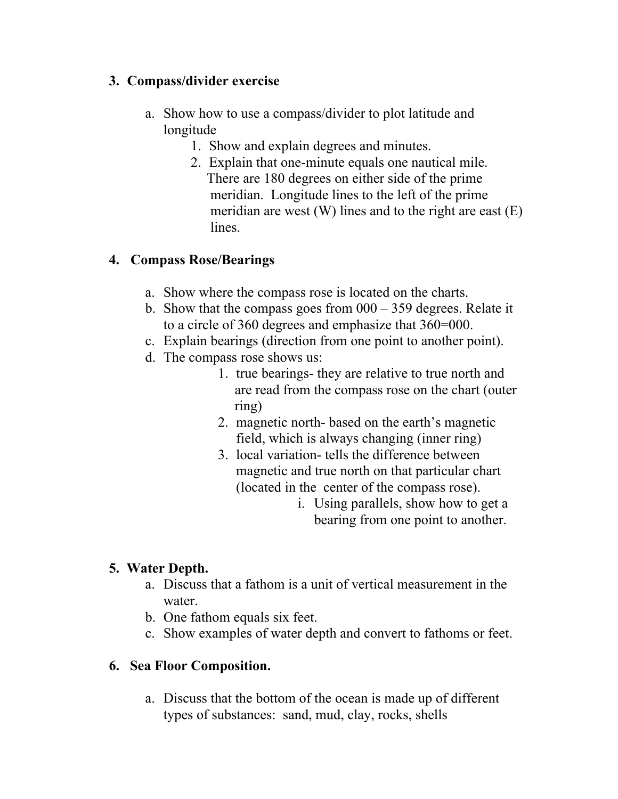## 3. Compass/divider exercise

- a. Show how to use a compass/divider to plot latitude and longitude
	- 1. Show and explain degrees and minutes.
	- 2. Explain that one-minute equals one nautical mile. There are 180 degrees on either side of the prime meridian. Longitude lines to the left of the prime meridian are west (W) lines and to the right are east (E) lines.

## 4. Compass Rose/Bearings

- a. Show where the compass rose is located on the charts.
- b. Show that the compass goes from  $000 359$  degrees. Relate it to a circle of 360 degrees and emphasize that 360=000.
- c. Explain bearings (direction from one point to another point).
- d. The compass rose shows us:
	- 1. true bearings- they are relative to true north and are read from the compass rose on the chart (outer ring)
	- 2. magnetic north- based on the earth's magnetic field, which is always changing (inner ring)
	- 3. local variation- tells the difference between magnetic and true north on that particular chart (located in the center of the compass rose).
		- i. Using parallels, show how to get a bearing from one point to another.

## 5. Water Depth.

- a. Discuss that a fathom is a unit of vertical measurement in the water.
- b. One fathom equals six feet.
- c. Show examples of water depth and convert to fathoms or feet.

## 6. Sea Floor Composition.

a. Discuss that the bottom of the ocean is made up of different types of substances: sand, mud, clay, rocks, shells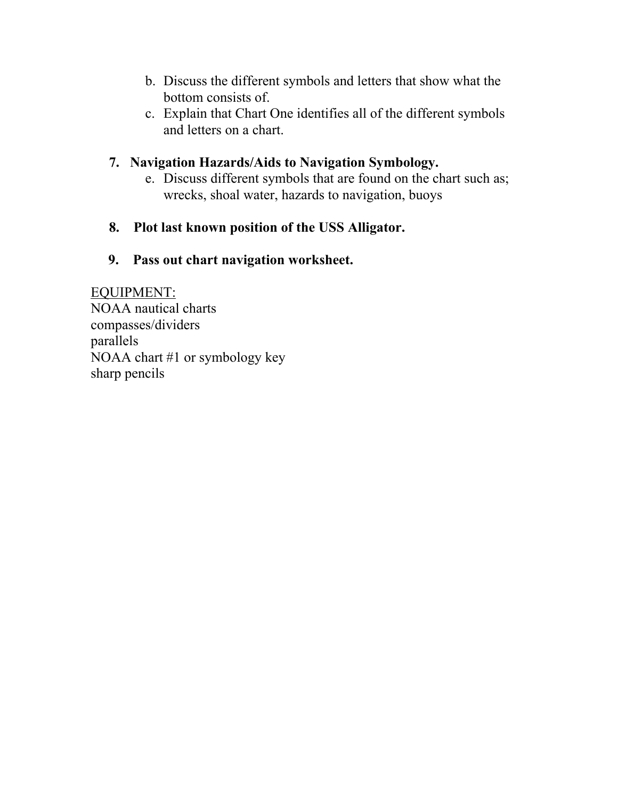- b. Discuss the different symbols and letters that show what the bottom consists of.
- c. Explain that Chart One identifies all of the different symbols and letters on a chart.

### 7. Navigation Hazards/Aids to Navigation Symbology.

e. Discuss different symbols that are found on the chart such as; wrecks, shoal water, hazards to navigation, buoys

#### 8. Plot last known position of the USS Alligator.

#### 9. Pass out chart navigation worksheet.

EQUIPMENT: NOAA nautical charts compasses/dividers parallels NOAA chart #1 or symbology key sharp pencils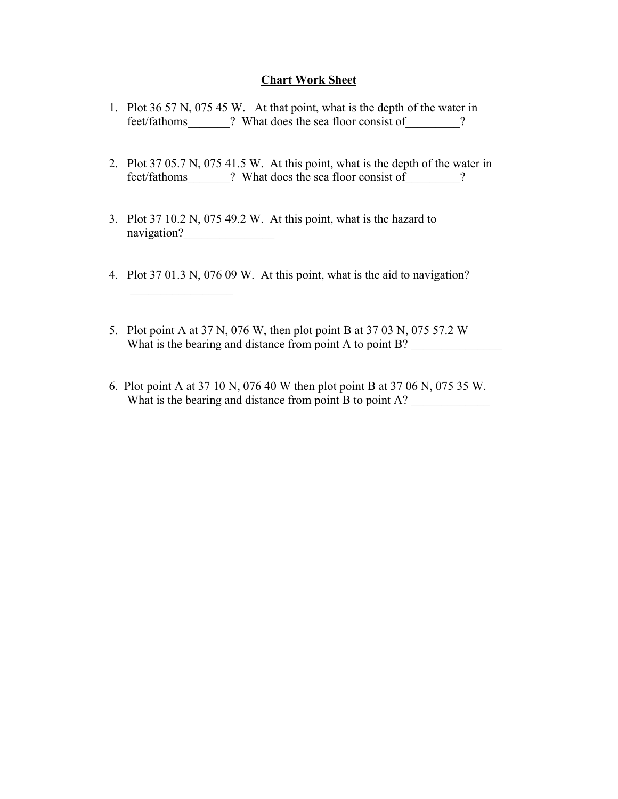#### Chart Work Sheet

- 1. Plot 36 57 N, 075 45 W. At that point, what is the depth of the water in feet/fathoms 2. What does the sea floor consist of 2.
- 2. Plot 37 05.7 N, 075 41.5 W. At this point, what is the depth of the water in feet/fathoms\_\_\_\_\_\_\_? What does the sea floor consist of  $\qquad$  ?
- 3. Plot 37 10.2 N, 075 49.2 W. At this point, what is the hazard to navigation?\_\_\_\_\_\_\_\_\_\_\_\_\_\_\_

 $\frac{1}{2}$ 

- 4. Plot 37 01.3 N, 076 09 W. At this point, what is the aid to navigation?
- 5. Plot point A at 37 N, 076 W, then plot point B at 37 03 N, 075 57.2 W What is the bearing and distance from point A to point B?
- 6. Plot point A at 37 10 N, 076 40 W then plot point B at 37 06 N, 075 35 W. What is the bearing and distance from point B to point A?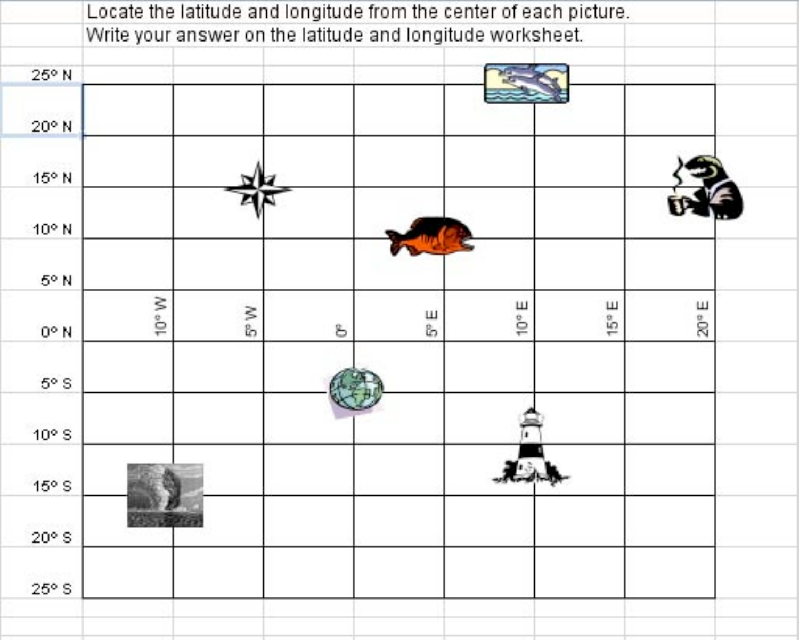|                | Locate the latitude and longitude from the center of each picture. |     |   |      |                |                          |                |  |
|----------------|--------------------------------------------------------------------|-----|---|------|----------------|--------------------------|----------------|--|
|                | Write your answer on the latitude and longitude worksheet.         |     |   |      |                |                          |                |  |
| 25° N          |                                                                    |     |   |      |                |                          |                |  |
| 20° N          |                                                                    |     |   |      |                |                          |                |  |
| 15° N          |                                                                    |     |   |      |                |                          |                |  |
| 10° N          |                                                                    |     |   |      |                |                          |                |  |
| 5° N           |                                                                    |     |   |      |                |                          |                |  |
| $0^{\circ}$ N  | $M$ oll                                                            | 5°W | S | es ⊞ | $10^{\circ}$ E | $15^{\circ} \, \text{E}$ | $20^{\circ}$ E |  |
| $5^{\circ}$ S  |                                                                    |     |   |      |                |                          |                |  |
| $10^{\circ}$ S |                                                                    |     |   |      |                |                          |                |  |
| $15°$ S        |                                                                    |     |   |      |                |                          |                |  |
| $20°$ S        |                                                                    |     |   |      |                |                          |                |  |
| $25°$ S        |                                                                    |     |   |      |                |                          |                |  |
|                |                                                                    |     |   |      |                |                          |                |  |